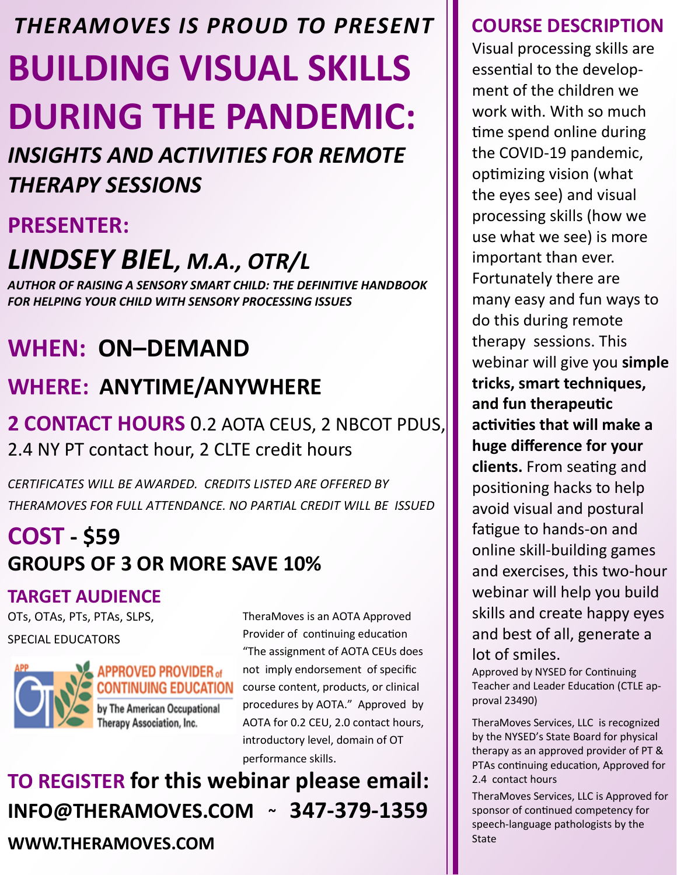# **BUILDING VISUAL SKILLS DURING THE PANDEMIC:** *THERAMOVES IS PROUD TO PRESENT*

*INSIGHTS AND ACTIVITIES FOR REMOTE THERAPY SESSIONS*

### **PRESENTER:**

# *LINDSEY BIEL, M.A., OTR/L*

*AUTHOR OF RAISING A SENSORY SMART CHILD: THE DEFINITIVE HANDBOOK FOR HELPING YOUR CHILD WITH SENSORY PROCESSING ISSUES* 

# **WHEN: ON–DEMAND**

## **WHERE: ANYTIME/ANYWHERE**

### **2 CONTACT HOURS** 0.2 AOTA CEUS, 2 NBCOT PDUS, 2.4 NY PT contact hour, 2 CLTE credit hours

*CERTIFICATES WILL BE AWARDED. CREDITS LISTED ARE OFFERED BY THERAMOVES FOR FULL ATTENDANCE. NO PARTIAL CREDIT WILL BE ISSUED* 

# **COST - \$59 GROUPS OF 3 OR MORE SAVE 10%**

### **TARGET AUDIENCE**

OTs, OTAs, PTs, PTAs, SLPS,

#### SPECIAL EDUCATORS



TheraMoves is an AOTA Approved Provider of continuing education "The assignment of AOTA CEUs does not imply endorsement of specific course content, products, or clinical procedures by AOTA." Approved by AOTA for 0.2 CEU, 2.0 contact hours, introductory level, domain of OT performance skills.

# **TO REGISTER for this webinar please email: INFO@THERAMOVES.COM ~ 347-379-1359**

**WWW.THERAMOVES.COM** 

### **COURSE DESCRIPTION**

Visual processing skills are essential to the development of the children we work with. With so much time spend online during the COVID-19 pandemic, optimizing vision (what the eyes see) and visual processing skills (how we use what we see) is more important than ever. Fortunately there are many easy and fun ways to do this during remote therapy sessions. This webinar will give you **simple tricks, smart techniques, and fun therapeutic activities that will make a huge difference for your clients.** From seating and positioning hacks to help avoid visual and postural fatigue to hands-on and online skill-building games and exercises, this two-hour webinar will help you build skills and create happy eyes and best of all, generate a lot of smiles.

Approved by NYSED for Continuing Teacher and Leader Education (CTLE approval 23490)

TheraMoves Services, LLC is recognized by the NYSED's State Board for physical therapy as an approved provider of PT & PTAs continuing education, Approved for 2.4 contact hours

TheraMoves Services, LLC is Approved for sponsor of continued competency for speech-language pathologists by the State